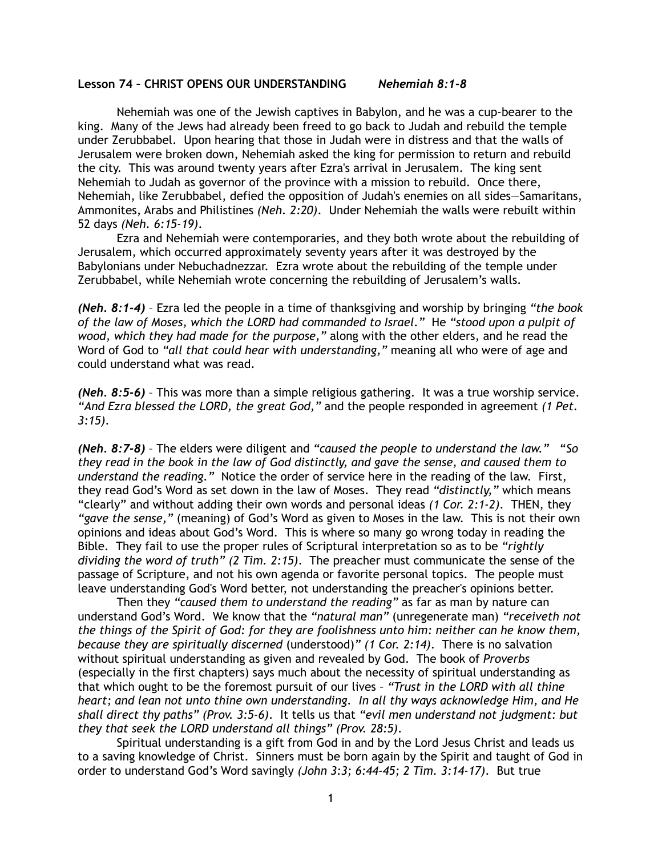## **Lesson 74 – CHRIST OPENS OUR UNDERSTANDING** *Nehemiah 8:1-8*

Nehemiah was one of the Jewish captives in Babylon, and he was a cup-bearer to the king. Many of the Jews had already been freed to go back to Judah and rebuild the temple under Zerubbabel. Upon hearing that those in Judah were in distress and that the walls of Jerusalem were broken down, Nehemiah asked the king for permission to return and rebuild the city. This was around twenty years after Ezra's arrival in Jerusalem. The king sent Nehemiah to Judah as governor of the province with a mission to rebuild. Once there, Nehemiah, like Zerubbabel, defied the opposition of Judah's enemies on all sides—Samaritans, Ammonites, Arabs and Philistines *(Neh. 2:20)*. Under Nehemiah the walls were rebuilt within 52 days *(Neh. 6:15-19)*.

Ezra and Nehemiah were contemporaries, and they both wrote about the rebuilding of Jerusalem, which occurred approximately seventy years after it was destroyed by the Babylonians under Nebuchadnezzar. Ezra wrote about the rebuilding of the temple under Zerubbabel, while Nehemiah wrote concerning the rebuilding of Jerusalem's walls.

*(Neh. 8:1-4)* – Ezra led the people in a time of thanksgiving and worship by bringing *"the book of the law of Moses, which the LORD had commanded to Israel."* He *"stood upon a pulpit of wood, which they had made for the purpose,"* along with the other elders, and he read the Word of God to *"all that could hear with understanding,"* meaning all who were of age and could understand what was read.

*(Neh. 8:5-6)* – This was more than a simple religious gathering. It was a true worship service. *"And Ezra blessed the LORD, the great God,"* and the people responded in agreement *(1 Pet. 3:15)*.

*(Neh. 8:7-8)* – The elders were diligent and *"caused the people to understand the law."* "*So they read in the book in the law of God distinctly, and gave the sense, and caused them to understand the reading."* Notice the order of service here in the reading of the law. First, they read God's Word as set down in the law of Moses. They read *"distinctly,"* which means "clearly" and without adding their own words and personal ideas *(1 Cor. 2:1-2)*. THEN, they *"gave the sense,"* (meaning) of God's Word as given to Moses in the law. This is not their own opinions and ideas about God's Word. This is where so many go wrong today in reading the Bible. They fail to use the proper rules of Scriptural interpretation so as to be *"rightly dividing the word of truth" (2 Tim. 2:15)*. The preacher must communicate the sense of the passage of Scripture, and not his own agenda or favorite personal topics. The people must leave understanding God's Word better, not understanding the preacher's opinions better.

Then they *"caused them to understand the reading"* as far as man by nature can understand God's Word. We know that the *"natural man"* (unregenerate man) *"receiveth not the things of the Spirit of God: for they are foolishness unto him: neither can he know them, because they are spiritually discerned* (understood)*" (1 Cor. 2:14)*. There is no salvation without spiritual understanding as given and revealed by God. The book of *Proverbs*  (especially in the first chapters) says much about the necessity of spiritual understanding as that which ought to be the foremost pursuit of our lives – *"Trust in the LORD with all thine heart; and lean not unto thine own understanding. In all thy ways acknowledge Him, and He shall direct thy paths" (Prov. 3:5-6)*. It tells us that *"evil men understand not judgment: but they that seek the LORD understand all things" (Prov. 28:5)*.

Spiritual understanding is a gift from God in and by the Lord Jesus Christ and leads us to a saving knowledge of Christ. Sinners must be born again by the Spirit and taught of God in order to understand God's Word savingly *(John 3:3; 6:44-45; 2 Tim. 3:14-17)*. But true